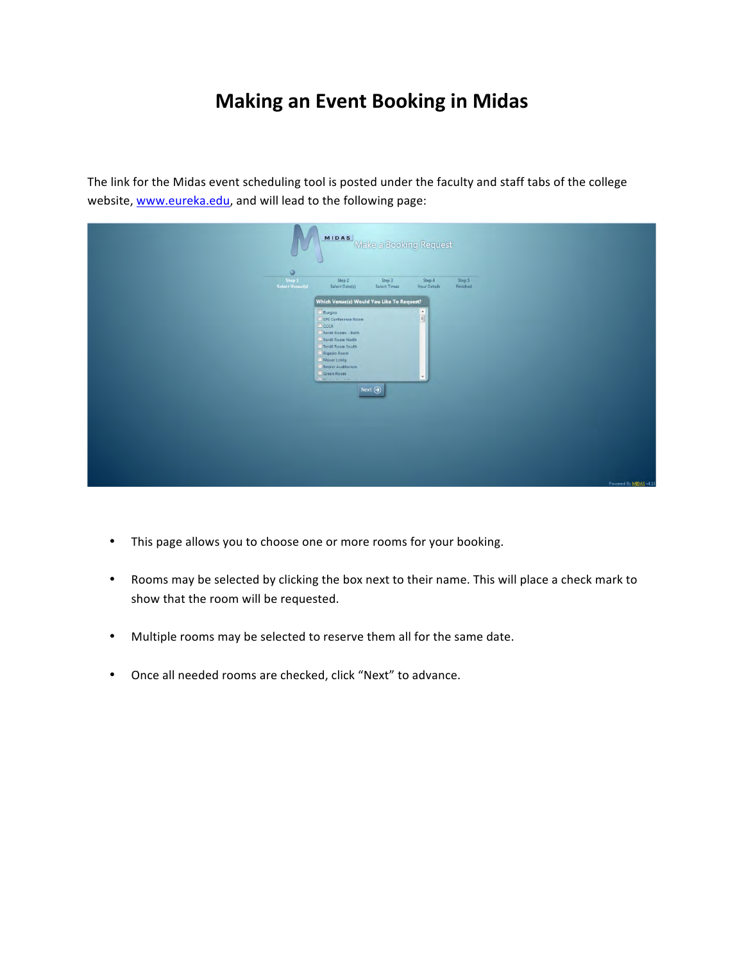## **Making an Event Booking in Midas**

The link for the Midas event scheduling tool is posted under the faculty and staff tabs of the college website, www.eureka.edu, and will lead to the following page:

| <b>MIDAS</b><br>ω                                                                                                                                                                                                                                                                                        | Make a Booking Request                                                                                        |          |                       |
|----------------------------------------------------------------------------------------------------------------------------------------------------------------------------------------------------------------------------------------------------------------------------------------------------------|---------------------------------------------------------------------------------------------------------------|----------|-----------------------|
| $\circ$<br>Step 1<br>Step 2                                                                                                                                                                                                                                                                              | Step 3<br>Step 4                                                                                              | Step 5   |                       |
| Select Venuels)<br>Select Date(s)<br>Which Venue(s) Would You Like To Request?<br>Burgoo<br>SPS Conference Room<br>CCCR<br>Terrill Rooms - Both<br>Terrill Room North<br>Terrill Room South<br>Rigazio Room<br>Moser Lobby<br>Becker Auditorium<br>Green Room<br>Films of the control<br>Next $\bigodot$ | <b>Select Times</b><br>Your Details<br>$\begin{array}{ c c c }\hline \bullet & \bullet \\ \hline \end{array}$ | Finished |                       |
|                                                                                                                                                                                                                                                                                                          |                                                                                                               |          | Powered By MIDAS v4.1 |

- This page allows you to choose one or more rooms for your booking.
- Rooms may be selected by clicking the box next to their name. This will place a check mark to show that the room will be requested.
- Multiple rooms may be selected to reserve them all for the same date.
- Once all needed rooms are checked, click "Next" to advance.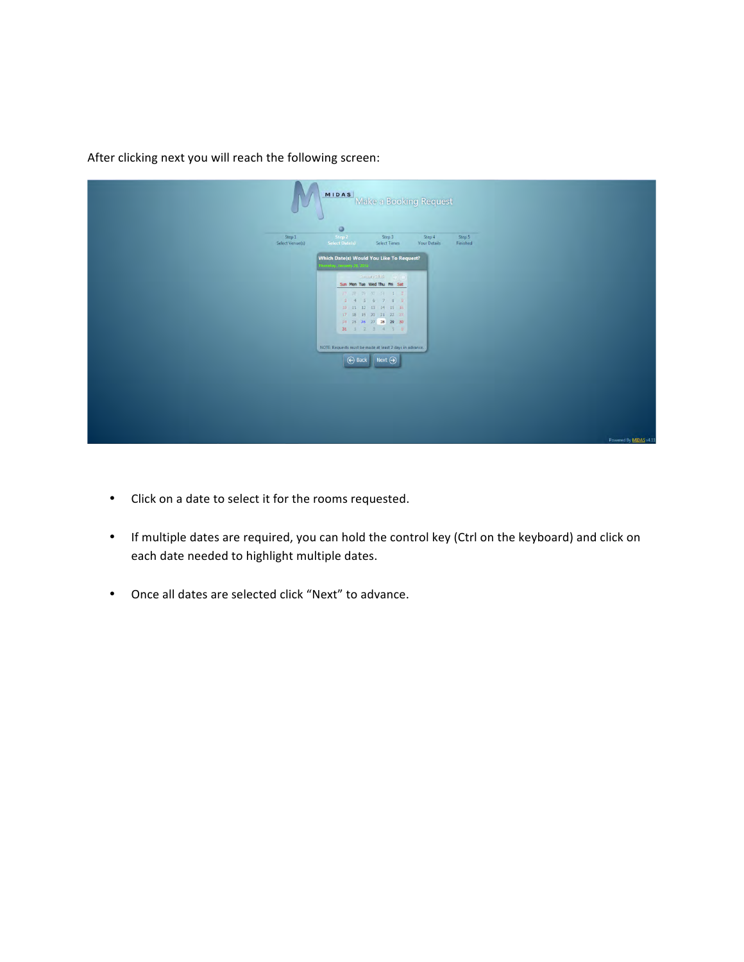After clicking next you will reach the following screen:

| <b>MIDAS</b><br>۳                                                       | Make a Booking Request                                                                                                                                                                                                                                                                                                                                                                    |                               |                    |  |                        |
|-------------------------------------------------------------------------|-------------------------------------------------------------------------------------------------------------------------------------------------------------------------------------------------------------------------------------------------------------------------------------------------------------------------------------------------------------------------------------------|-------------------------------|--------------------|--|------------------------|
| $\circ$<br>Step 2<br>Step 1<br>Select Venue(s)<br><b>Select Date(s)</b> | Step 3<br>Select Times                                                                                                                                                                                                                                                                                                                                                                    | Step 4<br><b>Your Details</b> | Step 5<br>Finished |  |                        |
|                                                                         | Which Date(s) Would You Like To Request?<br>msday, January 28, 2016<br>Service 2016<br>Sun Mon Tue Wed Thu Fri Sat<br>27 28 29 30 31 1 2<br>3 4 5 6 7 8 9<br>$10 \quad 11 \quad 12 \quad 13 \quad 14 \quad 15 \quad 16$<br>17 18 19 20 21 22 23<br>24 25 26 27 28 29 30<br>31 1 2 3 4 5 6<br>NOTE: Requests must be made at least 2 days in advance.<br>$\bigoplus$ Back<br>$Next \Theta$ |                               |                    |  |                        |
|                                                                         |                                                                                                                                                                                                                                                                                                                                                                                           |                               |                    |  | Powered By MIDAS v4.11 |

- Click on a date to select it for the rooms requested.
- If multiple dates are required, you can hold the control key (Ctrl on the keyboard) and click on each date needed to highlight multiple dates.
- Once all dates are selected click "Next" to advance.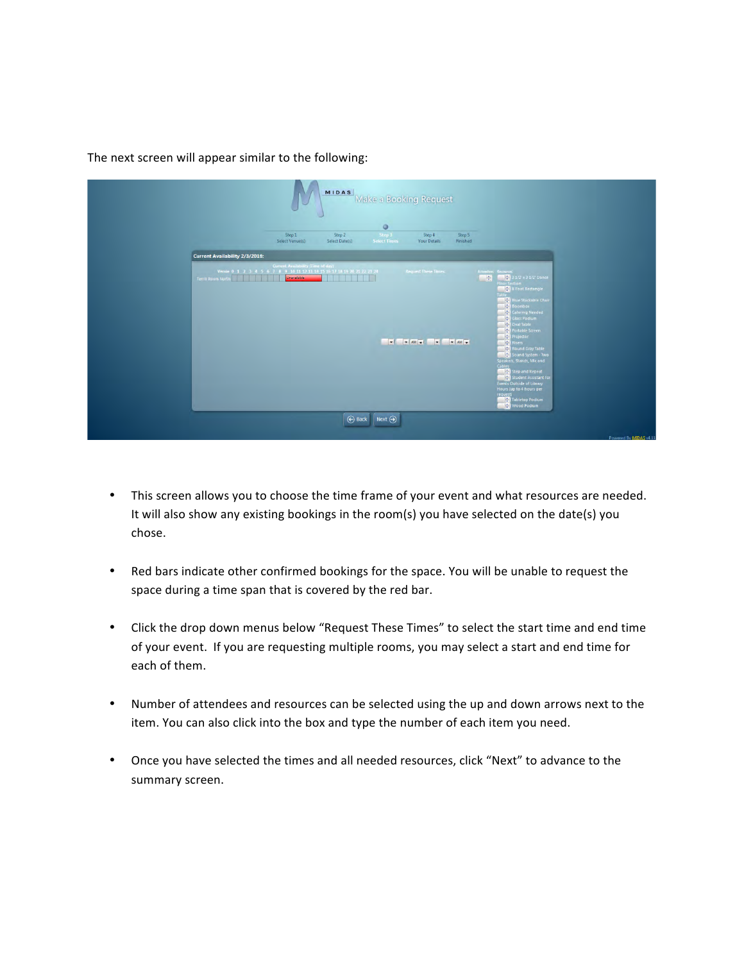The next screen will appear similar to the following:

| ٠                                                                                                                                                       |                                                                      | <b>Make a Booking Request</b>                       |                                                                                                                                                                                                                                                                                                                                                                                                                                                                                            |
|---------------------------------------------------------------------------------------------------------------------------------------------------------|----------------------------------------------------------------------|-----------------------------------------------------|--------------------------------------------------------------------------------------------------------------------------------------------------------------------------------------------------------------------------------------------------------------------------------------------------------------------------------------------------------------------------------------------------------------------------------------------------------------------------------------------|
| Step 1<br>Select Venue(s)                                                                                                                               | $\circ$<br>Step 2<br>Step 3<br>Select Date(s)<br><b>Select Times</b> | Step 5<br>Step 4<br><b>Your Details</b><br>Finished |                                                                                                                                                                                                                                                                                                                                                                                                                                                                                            |
| <b>Current Availability 2/3/2016:</b>                                                                                                                   |                                                                      |                                                     |                                                                                                                                                                                                                                                                                                                                                                                                                                                                                            |
| Current Availability (Time of day)<br>Venue 0 1 2 3 4 5 6 7 8 9 10 11 12 13 14 15 16 17 18 19 20 21 22 23 24<br>Unavailable<br><b>Terrill Room Nort</b> |                                                                      | <b>Request These Times:</b>                         | Attendees Resources<br>3 1/2 x 3 1/2' Dance<br>속<br><b>Floor Section</b><br>8 Foot Rectangle<br><b>Blue Stackable Chair</b><br><b>Boombox</b><br>Catering Needed<br>Glass Podium<br>Oval Table<br>Portable Screen<br>Projector<br><b>Risers</b><br>Round Gray Table<br>Sound System - Two<br>Speakers, Stands, Mic and<br>Cables<br>Step and Repeat<br>Student Assistant for<br><b>Events Outside of Library</b><br>Hours (up to 4 hours per<br>request)<br>Tabletop Podium<br>Wood Podium |

- This screen allows you to choose the time frame of your event and what resources are needed. It will also show any existing bookings in the room(s) you have selected on the date(s) you chose.
- Red bars indicate other confirmed bookings for the space. You will be unable to request the space during a time span that is covered by the red bar.
- Click the drop down menus below "Request These Times" to select the start time and end time of your event. If you are requesting multiple rooms, you may select a start and end time for each of them.
- Number of attendees and resources can be selected using the up and down arrows next to the item. You can also click into the box and type the number of each item you need.
- Once you have selected the times and all needed resources, click "Next" to advance to the summary screen.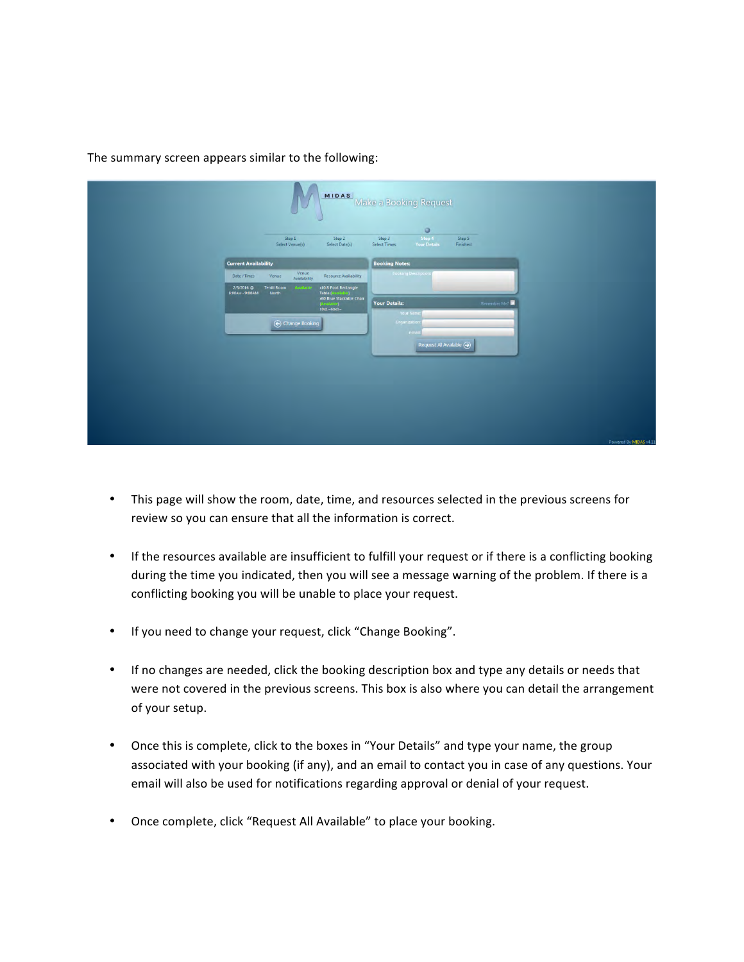

## The summary screen appears similar to the following:

- This page will show the room, date, time, and resources selected in the previous screens for review so you can ensure that all the information is correct.
- If the resources available are insufficient to fulfill your request or if there is a conflicting booking during the time you indicated, then you will see a message warning of the problem. If there is a conflicting booking you will be unable to place your request.
- If you need to change your request, click "Change Booking".
- If no changes are needed, click the booking description box and type any details or needs that were not covered in the previous screens. This box is also where you can detail the arrangement of your setup.
- Once this is complete, click to the boxes in "Your Details" and type your name, the group associated with your booking (if any), and an email to contact you in case of any questions. Your email will also be used for notifications regarding approval or denial of your request.
- Once complete, click "Request All Available" to place your booking.